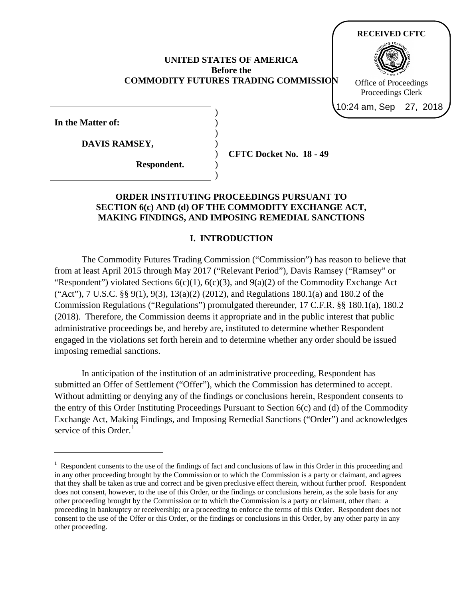#### **UNITED STATES OF AMERICA Before the COMMODITY FUTURES TRADING COMMISSION**

) ) ) ) ) ) )

**In the Matter of:**

 $\overline{a}$ 

**DAVIS RAMSEY,**

**Respondent.**

**CFTC Docket No. 18 - 49**

**RECEIVED CFTC**

Office of Proceedings Proceedings Clerk 10:24 am, Sep 27, 2018

### **ORDER INSTITUTING PROCEEDINGS PURSUANT TO SECTION 6(c) AND (d) OF THE COMMODITY EXCHANGE ACT, MAKING FINDINGS, AND IMPOSING REMEDIAL SANCTIONS**

### **I. INTRODUCTION**

The Commodity Futures Trading Commission ("Commission") has reason to believe that from at least April 2015 through May 2017 ("Relevant Period"), Davis Ramsey ("Ramsey" or "Respondent") violated Sections  $6(c)(1)$ ,  $6(c)(3)$ , and  $9(a)(2)$  of the Commodity Exchange Act ("Act"), 7 U.S.C. §§ 9(1), 9(3), 13(a)(2) (2012), and Regulations 180.1(a) and 180.2 of the Commission Regulations ("Regulations") promulgated thereunder, 17 C.F.R. §§ 180.1(a), 180.2 (2018). Therefore, the Commission deems it appropriate and in the public interest that public administrative proceedings be, and hereby are, instituted to determine whether Respondent engaged in the violations set forth herein and to determine whether any order should be issued imposing remedial sanctions.

In anticipation of the institution of an administrative proceeding, Respondent has submitted an Offer of Settlement ("Offer"), which the Commission has determined to accept. Without admitting or denying any of the findings or conclusions herein, Respondent consents to the entry of this Order Instituting Proceedings Pursuant to Section 6(c) and (d) of the Commodity Exchange Act, Making Findings, and Imposing Remedial Sanctions ("Order") and acknowledges service of this Order.<sup>[1](#page-0-0)</sup>

<span id="page-0-0"></span><sup>&</sup>lt;sup>1</sup> Respondent consents to the use of the findings of fact and conclusions of law in this Order in this proceeding and in any other proceeding brought by the Commission or to which the Commission is a party or claimant, and agrees that they shall be taken as true and correct and be given preclusive effect therein, without further proof. Respondent does not consent, however, to the use of this Order, or the findings or conclusions herein, as the sole basis for any other proceeding brought by the Commission or to which the Commission is a party or claimant, other than: a proceeding in bankruptcy or receivership; or a proceeding to enforce the terms of this Order. Respondent does not consent to the use of the Offer or this Order, or the findings or conclusions in this Order, by any other party in any other proceeding.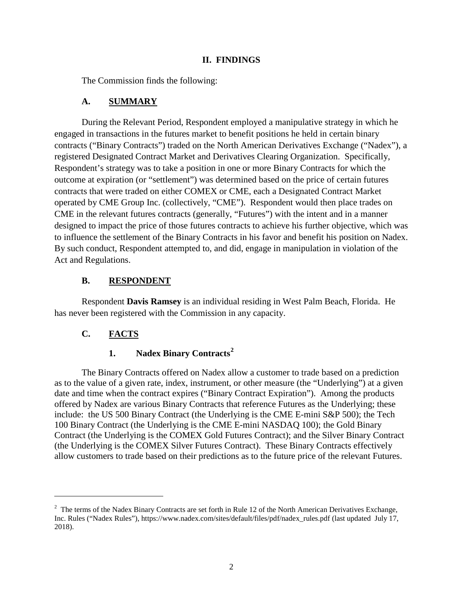### **II. FINDINGS**

The Commission finds the following:

## **A. SUMMARY**

During the Relevant Period, Respondent employed a manipulative strategy in which he engaged in transactions in the futures market to benefit positions he held in certain binary contracts ("Binary Contracts") traded on the North American Derivatives Exchange ("Nadex"), a registered Designated Contract Market and Derivatives Clearing Organization. Specifically, Respondent's strategy was to take a position in one or more Binary Contracts for which the outcome at expiration (or "settlement") was determined based on the price of certain futures contracts that were traded on either COMEX or CME, each a Designated Contract Market operated by CME Group Inc. (collectively, "CME"). Respondent would then place trades on CME in the relevant futures contracts (generally, "Futures") with the intent and in a manner designed to impact the price of those futures contracts to achieve his further objective, which was to influence the settlement of the Binary Contracts in his favor and benefit his position on Nadex. By such conduct, Respondent attempted to, and did, engage in manipulation in violation of the Act and Regulations.

# **B. RESPONDENT**

Respondent **Davis Ramsey** is an individual residing in West Palm Beach, Florida. He has never been registered with the Commission in any capacity.

# **C. FACTS**

 $\overline{a}$ 

## **1. Nadex Binary Contracts[2](#page-1-0)**

The Binary Contracts offered on Nadex allow a customer to trade based on a prediction as to the value of a given rate, index, instrument, or other measure (the "Underlying") at a given date and time when the contract expires ("Binary Contract Expiration"). Among the products offered by Nadex are various Binary Contracts that reference Futures as the Underlying; these include: the US 500 Binary Contract (the Underlying is the CME E-mini S&P 500); the Tech 100 Binary Contract (the Underlying is the CME E-mini NASDAQ 100); the Gold Binary Contract (the Underlying is the COMEX Gold Futures Contract); and the Silver Binary Contract (the Underlying is the COMEX Silver Futures Contract). These Binary Contracts effectively allow customers to trade based on their predictions as to the future price of the relevant Futures.

<span id="page-1-0"></span><sup>&</sup>lt;sup>2</sup> The terms of the Nadex Binary Contracts are set forth in Rule 12 of the North American Derivatives Exchange, Inc. Rules ("Nadex Rules"), https://www.nadex.com/sites/default/files/pdf/nadex\_rules.pdf (last updated July 17, 2018).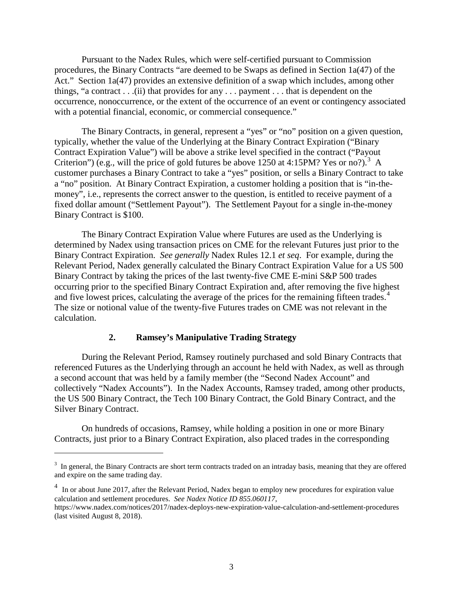Pursuant to the Nadex Rules, which were self-certified pursuant to Commission procedures, the Binary Contracts "are deemed to be Swaps as defined in Section 1a(47) of the Act." Section 1a(47) provides an extensive definition of a swap which includes, among other things, "a contract . . .(ii) that provides for any . . . payment . . . that is dependent on the occurrence, nonoccurrence, or the extent of the occurrence of an event or contingency associated with a potential financial, economic, or commercial consequence."

The Binary Contracts, in general, represent a "yes" or "no" position on a given question, typically, whether the value of the Underlying at the Binary Contract Expiration ("Binary Contract Expiration Value") will be above a strike level specified in the contract ("Payout Criterion") (e.g., will the price of gold futures be above  $1250$  at 4:15PM? Yes or no?).<sup>[3](#page-2-0)</sup> A customer purchases a Binary Contract to take a "yes" position, or sells a Binary Contract to take a "no" position. At Binary Contract Expiration, a customer holding a position that is "in-themoney", i.e., represents the correct answer to the question, is entitled to receive payment of a fixed dollar amount ("Settlement Payout"). The Settlement Payout for a single in-the-money Binary Contract is \$100.

The Binary Contract Expiration Value where Futures are used as the Underlying is determined by Nadex using transaction prices on CME for the relevant Futures just prior to the Binary Contract Expiration. *See generally* Nadex Rules 12.1 *et seq*. For example, during the Relevant Period, Nadex generally calculated the Binary Contract Expiration Value for a US 500 Binary Contract by taking the prices of the last twenty-five CME E-mini S&P 500 trades occurring prior to the specified Binary Contract Expiration and, after removing the five highest and five lowest prices, calculating the average of the prices for the remaining fifteen trades.<sup>[4](#page-2-1)</sup> The size or notional value of the twenty-five Futures trades on CME was not relevant in the calculation.

#### **2. Ramsey's Manipulative Trading Strategy**

 $\overline{a}$ 

During the Relevant Period, Ramsey routinely purchased and sold Binary Contracts that referenced Futures as the Underlying through an account he held with Nadex, as well as through a second account that was held by a family member (the "Second Nadex Account" and collectively "Nadex Accounts"). In the Nadex Accounts, Ramsey traded, among other products, the US 500 Binary Contract, the Tech 100 Binary Contract, the Gold Binary Contract, and the Silver Binary Contract.

On hundreds of occasions, Ramsey, while holding a position in one or more Binary Contracts, just prior to a Binary Contract Expiration, also placed trades in the corresponding

<span id="page-2-0"></span> $3$  In general, the Binary Contracts are short term contracts traded on an intraday basis, meaning that they are offered and expire on the same trading day.

<span id="page-2-1"></span><sup>&</sup>lt;sup>4</sup> In or about June 2017, after the Relevant Period, Nadex began to employ new procedures for expiration value calculation and settlement procedures. *See Nadex Notice ID 855.060117*,

https://www.nadex.com/notices/2017/nadex-deploys-new-expiration-value-calculation-and-settlement-procedures (last visited August 8, 2018).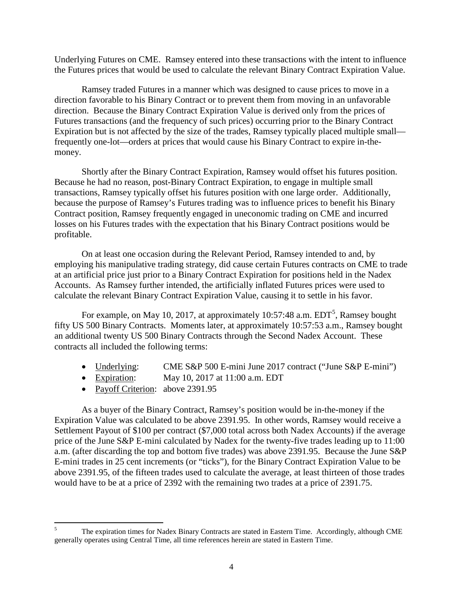Underlying Futures on CME. Ramsey entered into these transactions with the intent to influence the Futures prices that would be used to calculate the relevant Binary Contract Expiration Value.

Ramsey traded Futures in a manner which was designed to cause prices to move in a direction favorable to his Binary Contract or to prevent them from moving in an unfavorable direction. Because the Binary Contract Expiration Value is derived only from the prices of Futures transactions (and the frequency of such prices) occurring prior to the Binary Contract Expiration but is not affected by the size of the trades, Ramsey typically placed multiple small frequently one-lot—orders at prices that would cause his Binary Contract to expire in-themoney.

Shortly after the Binary Contract Expiration, Ramsey would offset his futures position. Because he had no reason, post-Binary Contract Expiration, to engage in multiple small transactions, Ramsey typically offset his futures position with one large order. Additionally, because the purpose of Ramsey's Futures trading was to influence prices to benefit his Binary Contract position, Ramsey frequently engaged in uneconomic trading on CME and incurred losses on his Futures trades with the expectation that his Binary Contract positions would be profitable.

On at least one occasion during the Relevant Period, Ramsey intended to and, by employing his manipulative trading strategy, did cause certain Futures contracts on CME to trade at an artificial price just prior to a Binary Contract Expiration for positions held in the Nadex Accounts. As Ramsey further intended, the artificially inflated Futures prices were used to calculate the relevant Binary Contract Expiration Value, causing it to settle in his favor.

For example, on May 10, 2017, at approximately 10:[5](#page-3-0)7:48 a.m.  $EDT^5$ , Ramsey bought fifty US 500 Binary Contracts. Moments later, at approximately 10:57:53 a.m., Ramsey bought an additional twenty US 500 Binary Contracts through the Second Nadex Account. These contracts all included the following terms:

- Underlying: CME S&P 500 E-mini June 2017 contract ("June S&P E-mini")
- Expiration: May 10, 2017 at 11:00 a.m. EDT
- Payoff Criterion: above 2391.95

As a buyer of the Binary Contract, Ramsey's position would be in-the-money if the Expiration Value was calculated to be above 2391.95. In other words, Ramsey would receive a Settlement Payout of \$100 per contract (\$7,000 total across both Nadex Accounts) if the average price of the June S&P E-mini calculated by Nadex for the twenty-five trades leading up to 11:00 a.m. (after discarding the top and bottom five trades) was above 2391.95. Because the June S&P E-mini trades in 25 cent increments (or "ticks"), for the Binary Contract Expiration Value to be above 2391.95, of the fifteen trades used to calculate the average, at least thirteen of those trades would have to be at a price of 2392 with the remaining two trades at a price of 2391.75.

<span id="page-3-0"></span><sup>&</sup>lt;sup>5</sup> The expiration times for Nadex Binary Contracts are stated in Eastern Time. Accordingly, although CME generally operates using Central Time, all time references herein are stated in Eastern Time.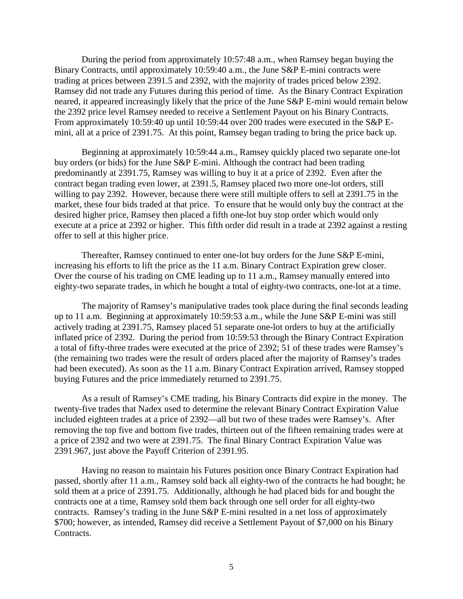During the period from approximately 10:57:48 a.m., when Ramsey began buying the Binary Contracts, until approximately 10:59:40 a.m., the June S&P E-mini contracts were trading at prices between 2391.5 and 2392, with the majority of trades priced below 2392. Ramsey did not trade any Futures during this period of time. As the Binary Contract Expiration neared, it appeared increasingly likely that the price of the June S&P E-mini would remain below the 2392 price level Ramsey needed to receive a Settlement Payout on his Binary Contracts. From approximately 10:59:40 up until 10:59:44 over 200 trades were executed in the S&P Emini, all at a price of 2391.75. At this point, Ramsey began trading to bring the price back up.

Beginning at approximately 10:59:44 a.m., Ramsey quickly placed two separate one-lot buy orders (or bids) for the June S&P E-mini. Although the contract had been trading predominantly at 2391.75, Ramsey was willing to buy it at a price of 2392. Even after the contract began trading even lower, at 2391.5, Ramsey placed two more one-lot orders, still willing to pay 2392. However, because there were still multiple offers to sell at 2391.75 in the market, these four bids traded at that price. To ensure that he would only buy the contract at the desired higher price, Ramsey then placed a fifth one-lot buy stop order which would only execute at a price at 2392 or higher. This fifth order did result in a trade at 2392 against a resting offer to sell at this higher price.

Thereafter, Ramsey continued to enter one-lot buy orders for the June S&P E-mini, increasing his efforts to lift the price as the 11 a.m. Binary Contract Expiration grew closer. Over the course of his trading on CME leading up to 11 a.m., Ramsey manually entered into eighty-two separate trades, in which he bought a total of eighty-two contracts, one-lot at a time.

The majority of Ramsey's manipulative trades took place during the final seconds leading up to 11 a.m. Beginning at approximately 10:59:53 a.m., while the June S&P E-mini was still actively trading at 2391.75, Ramsey placed 51 separate one-lot orders to buy at the artificially inflated price of 2392. During the period from 10:59:53 through the Binary Contract Expiration a total of fifty-three trades were executed at the price of 2392; 51 of these trades were Ramsey's (the remaining two trades were the result of orders placed after the majority of Ramsey's trades had been executed). As soon as the 11 a.m. Binary Contract Expiration arrived, Ramsey stopped buying Futures and the price immediately returned to 2391.75.

As a result of Ramsey's CME trading, his Binary Contracts did expire in the money. The twenty-five trades that Nadex used to determine the relevant Binary Contract Expiration Value included eighteen trades at a price of 2392—all but two of these trades were Ramsey's. After removing the top five and bottom five trades, thirteen out of the fifteen remaining trades were at a price of 2392 and two were at 2391.75. The final Binary Contract Expiration Value was 2391.967, just above the Payoff Criterion of 2391.95.

Having no reason to maintain his Futures position once Binary Contract Expiration had passed, shortly after 11 a.m., Ramsey sold back all eighty-two of the contracts he had bought; he sold them at a price of 2391.75. Additionally, although he had placed bids for and bought the contracts one at a time, Ramsey sold them back through one sell order for all eighty-two contracts. Ramsey's trading in the June S&P E-mini resulted in a net loss of approximately \$700; however, as intended, Ramsey did receive a Settlement Payout of \$7,000 on his Binary Contracts.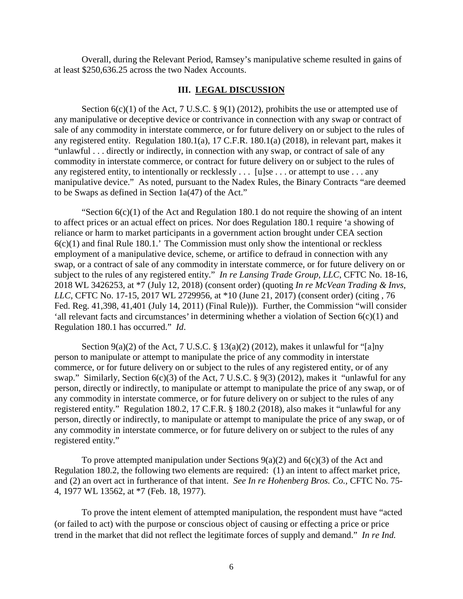Overall, during the Relevant Period, Ramsey's manipulative scheme resulted in gains of at least \$250,636.25 across the two Nadex Accounts.

#### **III. LEGAL DISCUSSION**

Section  $6(c)(1)$  of the Act, 7 U.S.C. § 9(1) (2012), prohibits the use or attempted use of any manipulative or deceptive device or contrivance in connection with any swap or contract of sale of any commodity in interstate commerce, or for future delivery on or subject to the rules of any registered entity. Regulation 180.1(a), 17 C.F.R. 180.1(a) (2018), in relevant part, makes it "unlawful . . . directly or indirectly, in connection with any swap, or contract of sale of any commodity in interstate commerce, or contract for future delivery on or subject to the rules of any registered entity, to intentionally or recklessly . . . [u]se . . . or attempt to use . . . any manipulative device." As noted, pursuant to the Nadex Rules, the Binary Contracts "are deemed to be Swaps as defined in Section 1a(47) of the Act."

"Section  $6(c)(1)$  of the Act and Regulation 180.1 do not require the showing of an intent to affect prices or an actual effect on prices. Nor does Regulation 180.1 require 'a showing of reliance or harm to market participants in a government action brought under CEA section  $6(c)(1)$  and final Rule 180.1.' The Commission must only show the intentional or reckless employment of a manipulative device, scheme, or artifice to defraud in connection with any swap, or a contract of sale of any commodity in interstate commerce, or for future delivery on or subject to the rules of any registered entity." *In re Lansing Trade Group, LLC*, CFTC No. 18-16, 2018 WL 3426253, at \*7 (July 12, 2018) (consent order) (quoting *In re McVean Trading & Invs, LLC*, CFTC No. 17-15, 2017 WL 2729956, at \*10 (June 21, 2017) (consent order) (citing , 76 Fed. Reg. 41,398, 41,401 (July 14, 2011) (Final Rule))). Further, the Commission "will consider 'all relevant facts and circumstances' in determining whether a violation of Section 6(c)(1) and Regulation 180.1 has occurred." *Id*.

Section 9(a)(2) of the Act, 7 U.S.C. § 13(a)(2) (2012), makes it unlawful for "[a]ny person to manipulate or attempt to manipulate the price of any commodity in interstate commerce, or for future delivery on or subject to the rules of any registered entity, or of any swap." Similarly, Section 6(c)(3) of the Act, 7 U.S.C. § 9(3) (2012), makes it "unlawful for any person, directly or indirectly, to manipulate or attempt to manipulate the price of any swap, or of any commodity in interstate commerce, or for future delivery on or subject to the rules of any registered entity." Regulation 180.2, 17 C.F.R. § 180.2 (2018), also makes it "unlawful for any person, directly or indirectly, to manipulate or attempt to manipulate the price of any swap, or of any commodity in interstate commerce, or for future delivery on or subject to the rules of any registered entity."

To prove attempted manipulation under Sections  $9(a)(2)$  and  $6(c)(3)$  of the Act and Regulation 180.2, the following two elements are required: (1) an intent to affect market price, and (2) an overt act in furtherance of that intent. *See In re Hohenberg Bros. Co.*, CFTC No. 75- 4, 1977 WL 13562, at \*7 (Feb. 18, 1977).

To prove the intent element of attempted manipulation, the respondent must have "acted (or failed to act) with the purpose or conscious object of causing or effecting a price or price trend in the market that did not reflect the legitimate forces of supply and demand." *In re Ind.*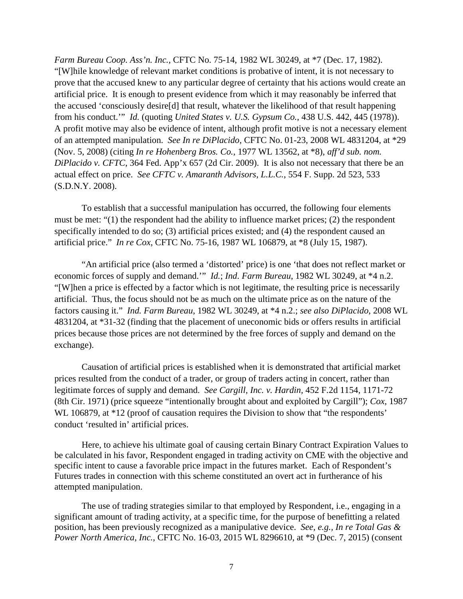*Farm Bureau Coop. Ass'n. Inc.*, CFTC No. 75-14, 1982 WL 30249, at \*7 (Dec. 17, 1982). "[W]hile knowledge of relevant market conditions is probative of intent, it is not necessary to prove that the accused knew to any particular degree of certainty that his actions would create an artificial price. It is enough to present evidence from which it may reasonably be inferred that the accused 'consciously desire[d] that result, whatever the likelihood of that result happening from his conduct.'" *Id.* (quoting *United States v. U.S. Gypsum Co.*, 438 U.S. 442, 445 (1978)). A profit motive may also be evidence of intent, although profit motive is not a necessary element of an attempted manipulation. *See In re DiPlacido,* CFTC No. 01-23, 2008 WL 4831204, at \*29 (Nov. 5, 2008) (citing *In re Hohenberg Bros. Co.*, 1977 WL 13562, at \*8), *aff'd sub. nom. DiPlacido v. CFTC*, 364 Fed. App'x 657 (2d Cir. 2009). It is also not necessary that there be an actual effect on price. *See CFTC v. Amaranth Advisors, L.L.C.*, 554 F. Supp. 2d 523, 533 (S.D.N.Y. 2008).

To establish that a successful manipulation has occurred, the following four elements must be met: "(1) the respondent had the ability to influence market prices; (2) the respondent specifically intended to do so; (3) artificial prices existed; and (4) the respondent caused an artificial price." *In re Cox*, CFTC No. 75-16, 1987 WL 106879, at \*8 (July 15, 1987).

"An artificial price (also termed a 'distorted' price) is one 'that does not reflect market or economic forces of supply and demand.'" *Id.*; *Ind. Farm Bureau*, 1982 WL 30249, at \*4 n.2. "[W]hen a price is effected by a factor which is not legitimate, the resulting price is necessarily artificial. Thus, the focus should not be as much on the ultimate price as on the nature of the factors causing it." *Ind. Farm Bureau*, 1982 WL 30249, at \*4 n.2.; *see also DiPlacido*, 2008 WL 4831204, at \*31-32 (finding that the placement of uneconomic bids or offers results in artificial prices because those prices are not determined by the free forces of supply and demand on the exchange).

Causation of artificial prices is established when it is demonstrated that artificial market prices resulted from the conduct of a trader, or group of traders acting in concert, rather than legitimate forces of supply and demand. *See Cargill, Inc. v. Hardin,* 452 F.2d 1154, 1171-72 (8th Cir. 1971) (price squeeze "intentionally brought about and exploited by Cargill"); *Cox*, 1987 WL 106879, at  $*12$  (proof of causation requires the Division to show that "the respondents" conduct 'resulted in' artificial prices.

Here, to achieve his ultimate goal of causing certain Binary Contract Expiration Values to be calculated in his favor, Respondent engaged in trading activity on CME with the objective and specific intent to cause a favorable price impact in the futures market. Each of Respondent's Futures trades in connection with this scheme constituted an overt act in furtherance of his attempted manipulation.

The use of trading strategies similar to that employed by Respondent, i.e., engaging in a significant amount of trading activity, at a specific time, for the purpose of benefitting a related position, has been previously recognized as a manipulative device. *See, e.g., In re Total Gas & Power North America, Inc.*, CFTC No. 16-03, 2015 WL 8296610, at \*9 (Dec. 7, 2015) (consent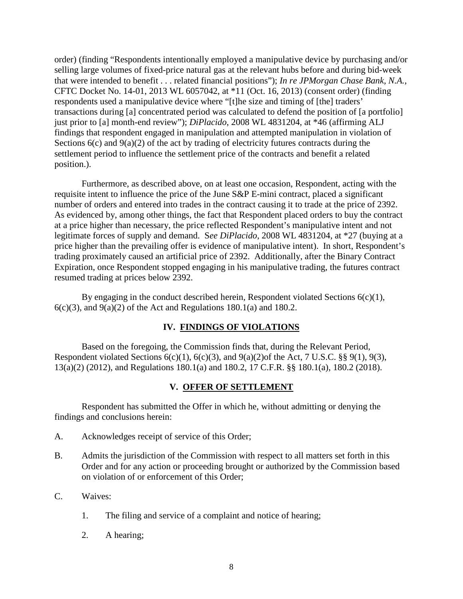order) (finding "Respondents intentionally employed a manipulative device by purchasing and/or selling large volumes of fixed-price natural gas at the relevant hubs before and during bid-week that were intended to benefit . . . related financial positions"); *In re JPMorgan Chase Bank, N.A.*, CFTC Docket No. 14-01, 2013 WL 6057042, at \*11 (Oct. 16, 2013) (consent order) (finding respondents used a manipulative device where "[t]he size and timing of [the] traders' transactions during [a] concentrated period was calculated to defend the position of [a portfolio] just prior to [a] month-end review"); *DiPlacido*, 2008 WL 4831204, at \*46 (affirming ALJ findings that respondent engaged in manipulation and attempted manipulation in violation of Sections  $6(c)$  and  $9(a)(2)$  of the act by trading of electricity futures contracts during the settlement period to influence the settlement price of the contracts and benefit a related position.).

Furthermore, as described above, on at least one occasion, Respondent, acting with the requisite intent to influence the price of the June S&P E-mini contract, placed a significant number of orders and entered into trades in the contract causing it to trade at the price of 2392. As evidenced by, among other things, the fact that Respondent placed orders to buy the contract at a price higher than necessary, the price reflected Respondent's manipulative intent and not legitimate forces of supply and demand. S*ee DiPlacido*, 2008 WL 4831204, at \*27 (buying at a price higher than the prevailing offer is evidence of manipulative intent). In short, Respondent's trading proximately caused an artificial price of 2392. Additionally, after the Binary Contract Expiration, once Respondent stopped engaging in his manipulative trading, the futures contract resumed trading at prices below 2392.

By engaging in the conduct described herein, Respondent violated Sections  $6(c)(1)$ ,  $6(c)(3)$ , and  $9(a)(2)$  of the Act and Regulations 180.1(a) and 180.2.

### **IV. FINDINGS OF VIOLATIONS**

Based on the foregoing, the Commission finds that, during the Relevant Period, Respondent violated Sections  $6(c)(1)$ ,  $6(c)(3)$ , and  $9(a)(2)$  of the Act, 7 U.S.C. §§  $9(1)$ ,  $9(3)$ , 13(a)(2) (2012), and Regulations 180.1(a) and 180.2, 17 C.F.R. §§ 180.1(a), 180.2 (2018).

#### **V. OFFER OF SETTLEMENT**

Respondent has submitted the Offer in which he, without admitting or denying the findings and conclusions herein:

- A. Acknowledges receipt of service of this Order;
- B. Admits the jurisdiction of the Commission with respect to all matters set forth in this Order and for any action or proceeding brought or authorized by the Commission based on violation of or enforcement of this Order;
- C. Waives:
	- 1. The filing and service of a complaint and notice of hearing;
	- 2. A hearing;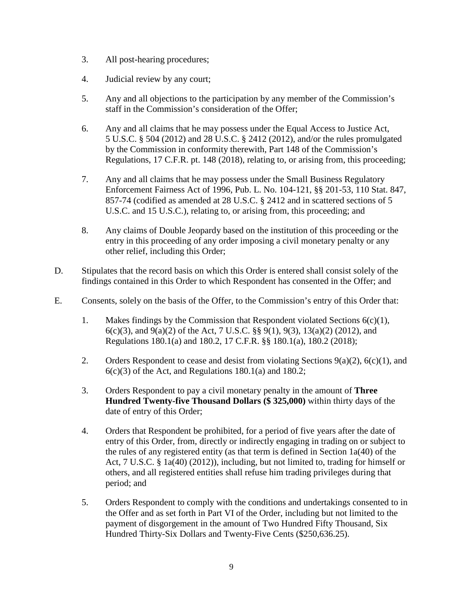- 3. All post-hearing procedures;
- 4. Judicial review by any court;
- 5. Any and all objections to the participation by any member of the Commission's staff in the Commission's consideration of the Offer;
- 6. Any and all claims that he may possess under the Equal Access to Justice Act, 5 U.S.C. § 504 (2012) and 28 U.S.C. § 2412 (2012), and/or the rules promulgated by the Commission in conformity therewith, Part 148 of the Commission's Regulations, 17 C.F.R. pt. 148 (2018), relating to, or arising from, this proceeding;
- 7. Any and all claims that he may possess under the Small Business Regulatory Enforcement Fairness Act of 1996, Pub. L. No. 104-121, §§ 201-53, 110 Stat. 847, 857-74 (codified as amended at 28 U.S.C. § 2412 and in scattered sections of 5 U.S.C. and 15 U.S.C.), relating to, or arising from, this proceeding; and
- 8. Any claims of Double Jeopardy based on the institution of this proceeding or the entry in this proceeding of any order imposing a civil monetary penalty or any other relief, including this Order;
- D. Stipulates that the record basis on which this Order is entered shall consist solely of the findings contained in this Order to which Respondent has consented in the Offer; and
- E. Consents, solely on the basis of the Offer, to the Commission's entry of this Order that:
	- 1. Makes findings by the Commission that Respondent violated Sections  $6(c)(1)$ , 6(c)(3), and 9(a)(2) of the Act, 7 U.S.C. §§ 9(1), 9(3), 13(a)(2) (2012), and Regulations 180.1(a) and 180.2, 17 C.F.R. §§ 180.1(a), 180.2 (2018);
	- 2. Orders Respondent to cease and desist from violating Sections  $9(a)(2)$ ,  $6(c)(1)$ , and  $6(c)(3)$  of the Act, and Regulations 180.1(a) and 180.2;
	- 3. Orders Respondent to pay a civil monetary penalty in the amount of **Three Hundred Twenty-five Thousand Dollars (\$ 325,000)** within thirty days of the date of entry of this Order;
	- 4. Orders that Respondent be prohibited, for a period of five years after the date of entry of this Order, from, directly or indirectly engaging in trading on or subject to the rules of any registered entity (as that term is defined in Section 1a(40) of the Act, 7 U.S.C. § 1a(40) (2012)), including, but not limited to, trading for himself or others, and all registered entities shall refuse him trading privileges during that period; and
	- 5. Orders Respondent to comply with the conditions and undertakings consented to in the Offer and as set forth in Part VI of the Order, including but not limited to the payment of disgorgement in the amount of Two Hundred Fifty Thousand, Six Hundred Thirty-Six Dollars and Twenty-Five Cents (\$250,636.25).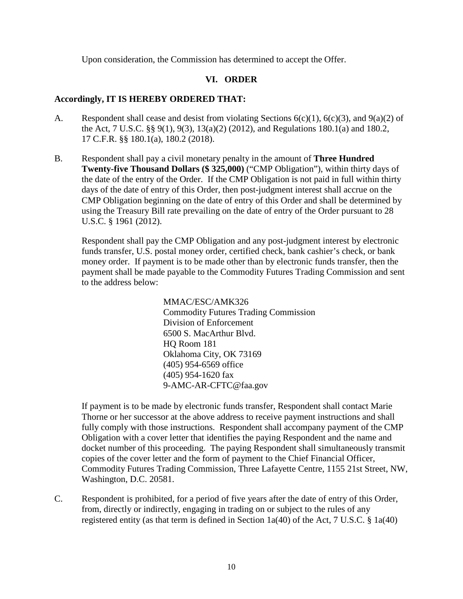Upon consideration, the Commission has determined to accept the Offer.

## **VI. ORDER**

### **Accordingly, IT IS HEREBY ORDERED THAT:**

- A. Respondent shall cease and desist from violating Sections  $6(c)(1)$ ,  $6(c)(3)$ , and  $9(a)(2)$  of the Act, 7 U.S.C. §§ 9(1), 9(3), 13(a)(2) (2012), and Regulations 180.1(a) and 180.2, 17 C.F.R. §§ 180.1(a), 180.2 (2018).
- B. Respondent shall pay a civil monetary penalty in the amount of **Three Hundred Twenty-five Thousand Dollars (\$ 325,000)** ("CMP Obligation"), within thirty days of the date of the entry of the Order. If the CMP Obligation is not paid in full within thirty days of the date of entry of this Order, then post-judgment interest shall accrue on the CMP Obligation beginning on the date of entry of this Order and shall be determined by using the Treasury Bill rate prevailing on the date of entry of the Order pursuant to 28 U.S.C. § 1961 (2012).

Respondent shall pay the CMP Obligation and any post-judgment interest by electronic funds transfer, U.S. postal money order, certified check, bank cashier's check, or bank money order. If payment is to be made other than by electronic funds transfer, then the payment shall be made payable to the Commodity Futures Trading Commission and sent to the address below:

> MMAC/ESC/AMK326 Commodity Futures Trading Commission Division of Enforcement 6500 S. MacArthur Blvd. HQ Room 181 Oklahoma City, OK 73169 (405) 954-6569 office (405) 954-1620 fax 9-AMC-AR-CFTC@faa.gov

If payment is to be made by electronic funds transfer, Respondent shall contact Marie Thorne or her successor at the above address to receive payment instructions and shall fully comply with those instructions. Respondent shall accompany payment of the CMP Obligation with a cover letter that identifies the paying Respondent and the name and docket number of this proceeding. The paying Respondent shall simultaneously transmit copies of the cover letter and the form of payment to the Chief Financial Officer, Commodity Futures Trading Commission, Three Lafayette Centre, 1155 21st Street, NW, Washington, D.C. 20581.

C. Respondent is prohibited, for a period of five years after the date of entry of this Order, from, directly or indirectly, engaging in trading on or subject to the rules of any registered entity (as that term is defined in Section 1a(40) of the Act, 7 U.S.C. § 1a(40)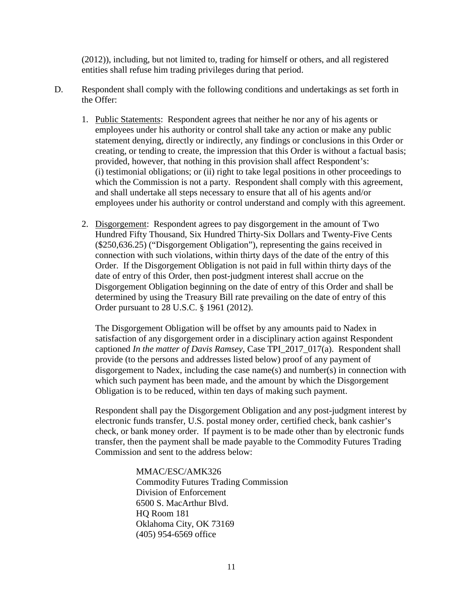(2012)), including, but not limited to, trading for himself or others, and all registered entities shall refuse him trading privileges during that period.

- D. Respondent shall comply with the following conditions and undertakings as set forth in the Offer:
	- 1. Public Statements: Respondent agrees that neither he nor any of his agents or employees under his authority or control shall take any action or make any public statement denying, directly or indirectly, any findings or conclusions in this Order or creating, or tending to create, the impression that this Order is without a factual basis; provided, however, that nothing in this provision shall affect Respondent's: (i) testimonial obligations; or (ii) right to take legal positions in other proceedings to which the Commission is not a party. Respondent shall comply with this agreement, and shall undertake all steps necessary to ensure that all of his agents and/or employees under his authority or control understand and comply with this agreement.
	- 2. Disgorgement:Respondent agrees to pay disgorgement in the amount of Two Hundred Fifty Thousand, Six Hundred Thirty-Six Dollars and Twenty-Five Cents (\$250,636.25) ("Disgorgement Obligation"), representing the gains received in connection with such violations, within thirty days of the date of the entry of this Order. If the Disgorgement Obligation is not paid in full within thirty days of the date of entry of this Order, then post-judgment interest shall accrue on the Disgorgement Obligation beginning on the date of entry of this Order and shall be determined by using the Treasury Bill rate prevailing on the date of entry of this Order pursuant to 28 U.S.C. § 1961 (2012).

The Disgorgement Obligation will be offset by any amounts paid to Nadex in satisfaction of any disgorgement order in a disciplinary action against Respondent captioned *In the matter of Davis Ramsey*, Case TPI\_2017\_017(a). Respondent shall provide (to the persons and addresses listed below) proof of any payment of disgorgement to Nadex, including the case name(s) and number(s) in connection with which such payment has been made, and the amount by which the Disgorgement Obligation is to be reduced, within ten days of making such payment.

Respondent shall pay the Disgorgement Obligation and any post-judgment interest by electronic funds transfer, U.S. postal money order, certified check, bank cashier's check, or bank money order. If payment is to be made other than by electronic funds transfer, then the payment shall be made payable to the Commodity Futures Trading Commission and sent to the address below:

> MMAC/ESC/AMK326 Commodity Futures Trading Commission Division of Enforcement 6500 S. MacArthur Blvd. HQ Room 181 Oklahoma City, OK 73169 (405) 954-6569 office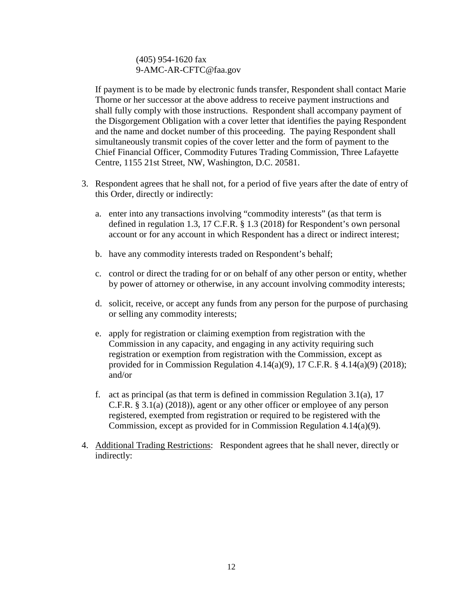### (405) 954-1620 fax [9-AMC-AR-CFTC@faa.gov](mailto:9-AMC-AR-CFTC@faa.gov)

If payment is to be made by electronic funds transfer, Respondent shall contact Marie Thorne or her successor at the above address to receive payment instructions and shall fully comply with those instructions. Respondent shall accompany payment of the Disgorgement Obligation with a cover letter that identifies the paying Respondent and the name and docket number of this proceeding. The paying Respondent shall simultaneously transmit copies of the cover letter and the form of payment to the Chief Financial Officer, Commodity Futures Trading Commission, Three Lafayette Centre, 1155 21st Street, NW, Washington, D.C. 20581.

- 3. Respondent agrees that he shall not, for a period of five years after the date of entry of this Order, directly or indirectly:
	- a. enter into any transactions involving "commodity interests" (as that term is defined in regulation 1.3, 17 C.F.R. § 1.3 (2018) for Respondent's own personal account or for any account in which Respondent has a direct or indirect interest;
	- b. have any commodity interests traded on Respondent's behalf;
	- c. control or direct the trading for or on behalf of any other person or entity, whether by power of attorney or otherwise, in any account involving commodity interests;
	- d. solicit, receive, or accept any funds from any person for the purpose of purchasing or selling any commodity interests;
	- e. apply for registration or claiming exemption from registration with the Commission in any capacity, and engaging in any activity requiring such registration or exemption from registration with the Commission, except as provided for in Commission Regulation 4.14(a)(9), 17 C.F.R.  $\S$  4.14(a)(9) (2018); and/or
	- f. act as principal (as that term is defined in commission Regulation 3.1(a),  $17$ C.F.R. § 3.1(a) (2018)), agent or any other officer or employee of any person registered, exempted from registration or required to be registered with the Commission, except as provided for in Commission Regulation 4.14(a)(9).
- 4. Additional Trading Restrictions: Respondent agrees that he shall never, directly or indirectly: